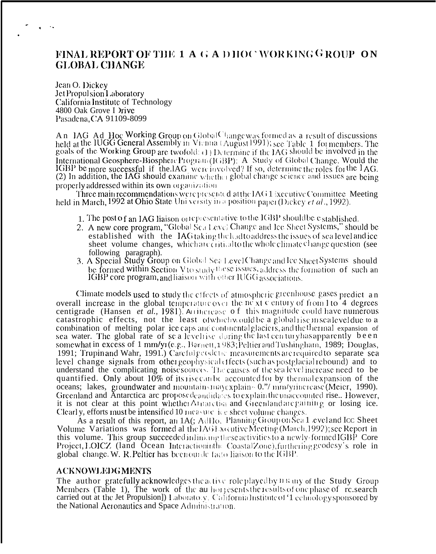## FINAL REPORT OF THE 1 A G A D HOC WORKING GROUP ON **GLOBAL CHANGE**

Jean O. Dickey Jet Propulsion Laboratory California Institute of Technology 4800 Oak Grove I Drive Pasadena, CA 91109-8099

An IAG Ad Hoc Working Group on GlobalChange was formed as a result of discussions held at the IUGG General Assembly in Vienna (August 1991); see Table 1 for members. The goals of the Working Group are twofold: (1) Determine if the IAG should be involved in the International Geosphere-Biosphere Program (IGBP): A Study of Global Change. Would the IGBP be more successful if the IAG were involved? If so, determine the roles for the IAG. (2) In addition, the IAG should examine whether global change science and issues are being properly addressed within its own organization

Three main recommendations were presented at the IAG 1 ixecutive Committee Meeting held in March, 1992 at Ohio State University in a position paper (Dickey et al., 1992).

- 1. The post of an IAG liaison or epresentative to the IGBP should be established.
- 2. A new core program, "Global Scalevel Change and Ice Sheet Systems," should be established with the IAG taking the lead to address the issues of sea level and ice sheet volume changes, which are critical to the whole climate change question (see
- following paragraph).<br>3. A Special Study Group on Global Sea Level Change and Ice Sheet Systems should be formed within Section V to study these issues, address the formation of such an IGBP core program, and liaison with other IUGG associations.

Climate models used to study the effects of atmospheric greenhouse gases predict an overall increase in the global temperature over the next century of from 1 to 4 degrees centigrade (Hansen et al., 1981). Arrificrease of this magnitude could have numerous catastrophic effects, not the least of which would be a global rise in scale veldue to a combination of melting polar ice caps and continental glaciers, and the thermal expansion of sea water. The global rate of se a level ise during the last century has apparently been somewhat in excess of 1 mm/y<sub>1</sub>(e.g., Barnett, 1983; Peltier and Tushingham, 1989; Douglas, 1991; Trupin and Wahr, 1991.) Careful  $\epsilon$  codence measurements are required to separate sea level change signals from other geophysical effects (such as postglacial rebound) and to understand the complicating noise sources. The causes of the sea level increase need to be quantified. Only about 10% of its rise can be accounted for by thermal expansion of the oceans; lakes, groundwater and mountains may explain  $\sim 0$ ."/ mm/yrincrease (Meier, 1990). Greenland and Antarctica are proposedeandidates to explain the unaccounted rise. However, it is not clear at this point whether Armarctics and Greenland are gaining or losing ice. Clearly, efforts must be intensified 10 measure ice sheet volume changes.

As a result of this report, an  $1A$ ;  $A$ d $H$ o, Planning Group on Sea 1 evel and Icc Sheet Volume Variations was formed al the IAGE xocutive Meeting (March, 1992); see Report in this volume. This group succeeded in linking these activities to a newly-formed IGBP Core Project, LOICZ (land Ocean Interactioninthe Coastal Zone), furthering geodesy's role in global change. W. R. Peltier has been ounde facto liaison to the IGBP.

## **ACKNOWLEDGMENTS**

The author gratefully acknowledges the active role played by II any of the Study Group Members (Table 1), The work of the author esents the results of one phase of research carried out at the Jet Propulsion]) Laboratory, California Institute of '1 echnology sponsored by the National Acronautics and Space Administration.